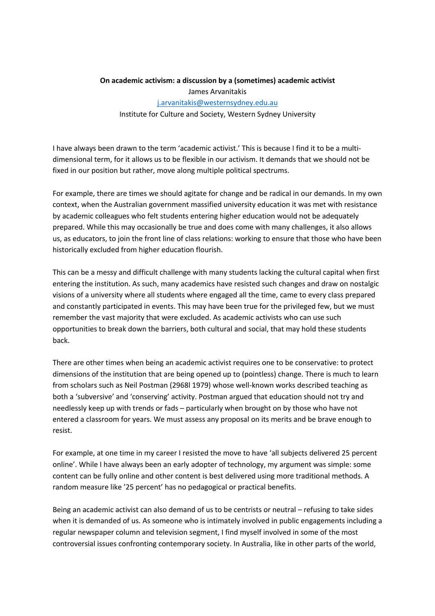## **On academic activism: a discussion by a (sometimes) academic activist** James Arvanitakis j.arvanitakis@westernsydney.edu.au Institute for Culture and Society, Western Sydney University

I have always been drawn to the term 'academic activist.' This is because I find it to be a multidimensional term, for it allows us to be flexible in our activism. It demands that we should not be fixed in our position but rather, move along multiple political spectrums.

For example, there are times we should agitate for change and be radical in our demands. In my own context, when the Australian government massified university education it was met with resistance by academic colleagues who felt students entering higher education would not be adequately prepared. While this may occasionally be true and does come with many challenges, it also allows us, as educators, to join the front line of class relations: working to ensure that those who have been historically excluded from higher education flourish.

This can be a messy and difficult challenge with many students lacking the cultural capital when first entering the institution. As such, many academics have resisted such changes and draw on nostalgic visions of a university where all students where engaged all the time, came to every class prepared and constantly participated in events. This may have been true for the privileged few, but we must remember the vast majority that were excluded. As academic activists who can use such opportunities to break down the barriers, both cultural and social, that may hold these students back.

There are other times when being an academic activist requires one to be conservative: to protect dimensions of the institution that are being opened up to (pointless) change. There is much to learn from scholars such as Neil Postman (2968l 1979) whose well-known works described teaching as both a 'subversive' and 'conserving' activity. Postman argued that education should not try and needlessly keep up with trends or fads – particularly when brought on by those who have not entered a classroom for years. We must assess any proposal on its merits and be brave enough to resist.

For example, at one time in my career I resisted the move to have 'all subjects delivered 25 percent online'. While I have always been an early adopter of technology, my argument was simple: some content can be fully online and other content is best delivered using more traditional methods. A random measure like '25 percent' has no pedagogical or practical benefits.

Being an academic activist can also demand of us to be centrists or neutral – refusing to take sides when it is demanded of us. As someone who is intimately involved in public engagements including a regular newspaper column and television segment, I find myself involved in some of the most controversial issues confronting contemporary society. In Australia, like in other parts of the world,